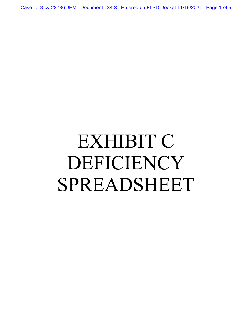Case 1:18-cv-23786-JEM Document 134-3 Entered on FLSD Docket 11/19/2021 Page 1 of 5

## EXHIBIT C DEFICIENCY SPREADSHEET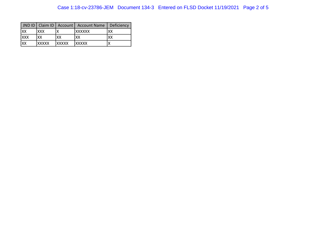|             |               |               | JND ID   Claim ID   Account   Account Name | Deficiency |
|-------------|---------------|---------------|--------------------------------------------|------------|
| lxx         | <b>XXX</b>    |               | <i><b>IXXXXXX</b></i>                      | XX         |
| <b>IXXX</b> | XX            | XХ            | ХX                                         | XX         |
| Ixx         | <b>IXXXXX</b> | <b>EXXXXX</b> | <b>IXXXXX</b>                              |            |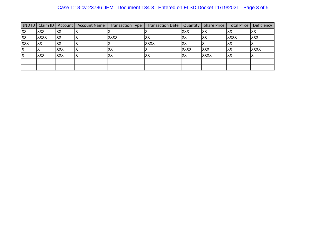## Case 1:18-cv-23786-JEM Document 134-3 Entered on FLSD Docket 11/19/2021 Page 3 of 5

| $JND$ $D$  | Claim ID    | Account    | <b>Account Name</b> | <b>Transaction Type</b> | <b>Transaction Date</b> | Quantity   |             | Share Price   Total Price | Deficiency  |
|------------|-------------|------------|---------------------|-------------------------|-------------------------|------------|-------------|---------------------------|-------------|
| XX         | <b>XXX</b>  | IXX        |                     |                         |                         | <b>XXX</b> | IXX         | lxx                       | XX          |
| <b>XX</b>  | <b>XXXX</b> | <b>XX</b>  |                     | <b>XXXX</b>             | <b>XX</b>               | IXX        | Ixx         | <b>XXXX</b>               | <b>XXX</b>  |
| <b>XXX</b> | IXX         | IXX        |                     |                         | <b>XXXX</b>             | lxx        |             | IXX                       |             |
| Iχ         |             | <b>XXX</b> |                     | XX                      |                         | Ixxxx      | <b>XXX</b>  | XX                        | <b>XXXX</b> |
|            | <b>XXX</b>  | <b>XXX</b> |                     | XX                      | IXX                     | XX         | <b>XXXX</b> | IXX                       |             |
|            |             |            |                     |                         |                         |            |             |                           |             |
|            |             |            |                     |                         |                         |            |             |                           |             |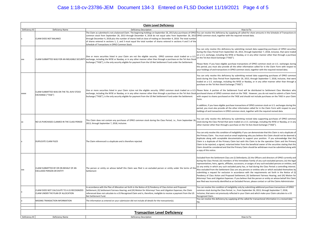## Case 1:18-cv-23786-JEM Document 134-3 Entered on FLSD Docket 11/19/2021 Page 4 of 5

|                                                                                        | <b>Claim Level Deficiency</b>                                                     |                                                                                                                                                                                                                                                                                                                                                                                                                                                                                                                                                                                                                                                                                                   |                                                                                                                                                                                                                                                                                                                                                                                                                                                                                                                                                                                                                                                                                                                                                                                                                                                                                                                                                                                                                             |  |  |  |
|----------------------------------------------------------------------------------------|-----------------------------------------------------------------------------------|---------------------------------------------------------------------------------------------------------------------------------------------------------------------------------------------------------------------------------------------------------------------------------------------------------------------------------------------------------------------------------------------------------------------------------------------------------------------------------------------------------------------------------------------------------------------------------------------------------------------------------------------------------------------------------------------------|-----------------------------------------------------------------------------------------------------------------------------------------------------------------------------------------------------------------------------------------------------------------------------------------------------------------------------------------------------------------------------------------------------------------------------------------------------------------------------------------------------------------------------------------------------------------------------------------------------------------------------------------------------------------------------------------------------------------------------------------------------------------------------------------------------------------------------------------------------------------------------------------------------------------------------------------------------------------------------------------------------------------------------|--|--|--|
| Deficiency ID<br><b>Deficiency Description</b><br>How to Fix<br><b>Deficiency Name</b> |                                                                                   |                                                                                                                                                                                                                                                                                                                                                                                                                                                                                                                                                                                                                                                                                                   |                                                                                                                                                                                                                                                                                                                                                                                                                                                                                                                                                                                                                                                                                                                                                                                                                                                                                                                                                                                                                             |  |  |  |
|                                                                                        | CLAIM DOES NOT BALANCE                                                            | The Claim as submitted is not a balanced Claim. The beginning holdings on September 26, 2013 plus purchases of OPKO You can resolve this deficiency by supplying all called-for share amounts in the Schedule of Transactions<br>common stock from September 26, 2013 through December 4, 2018 do not equal sales from September 26, 2013 OPKO common stock, together with the required revised data.<br>through December 4, 2018 plus the number of shares held at close of trading on December 4, 2018. The total number<br>of shares entered in sections 1, 2, and 3 must equal the total number of shares entered in sections 4 and 5 of the<br>Schedule of Transactions in OPKO Common Stock |                                                                                                                                                                                                                                                                                                                                                                                                                                                                                                                                                                                                                                                                                                                                                                                                                                                                                                                                                                                                                             |  |  |  |
| <b>XXX</b>                                                                             |                                                                                   | One or more securities listed in your Claim are not the eligible security. OPKO common stock traded on a U.S<br>CLAIM SUBMITTED WAS FOR AN INELIGIBLE SECURITY exchange, including the NYSE or Nasdaq, or in any other manner other than through a purchase on the Tel Aviv Stock<br>Exchange ("TASE"), is the only security eligible for payment from the US Net Settlement Fund under the Settlement.                                                                                                                                                                                                                                                                                           | You can only resolve this deficiency by submitting revised data supporting purchases of OPKO securities<br>during the Class Period from September 26, 2013, through September 7, 2018, inclusive, that were traded<br>on a U.S. exchange, including the NYSE or Nasdaq, or in any other manner other than through a purchase<br>on the Tel Aviv Stock Exchange ("TASE").<br>Please Note: If you have eligible purchase transactions of OPKO common stock on U.S. exchanges during<br>this period, you must also provide all the other information called for in the Claim Form with respect to<br>your holdings of and transactions in OPKO common stock, together with the required revised data.                                                                                                                                                                                                                                                                                                                          |  |  |  |
|                                                                                        |                                                                                   |                                                                                                                                                                                                                                                                                                                                                                                                                                                                                                                                                                                                                                                                                                   | You can only resolve this deficiency by submitting revised data supporting purchases of OPKO common<br>stock during the Class Period from September 26, 2013, through September 7, 2018, inclusive, that were<br>traded on a U.S. exchange, including the NYSE or Nasdag, or in any other manner other than through a<br>purchase on the Tel Aviv Stock Exchange ("TASE").                                                                                                                                                                                                                                                                                                                                                                                                                                                                                                                                                                                                                                                  |  |  |  |
| <b>XXXXX</b>                                                                           | CLAIM SUBMITTED WAS ON THE TEL AVIV STOCK<br>EXCHANGE ("TASE")                    | One or more securities listed in your Claim is/are not the eligible security. OPKO common stock traded on a U.S. Please Note: A portion of the Settlement Fund will be distributed to Settlement Class Members who<br>exchange, including the NYSE or Nasdaq, or in any other manner other than through a purchase on the Tel Aviv Stock purchased shares of OPKO common stock on the TASE. However, you do not need to submit a Claim Forn<br>Exchange ("TASE"), is the only security eligible for payment from the US Net Settlement Fund under the Settlement.                                                                                                                                 | with respect to shares purchased on the TASE and should not include purchases on the TASE in your Claim<br>Form.                                                                                                                                                                                                                                                                                                                                                                                                                                                                                                                                                                                                                                                                                                                                                                                                                                                                                                            |  |  |  |
|                                                                                        |                                                                                   |                                                                                                                                                                                                                                                                                                                                                                                                                                                                                                                                                                                                                                                                                                   | In addition, if you have eligible purchase transactions of OPKO common stock on U.S. exchanges during this<br>period, you must also provide all the other information called for in the Claim Form with respect to you<br>holdings of and transactions in OPKO common stock, together with the required revised data.                                                                                                                                                                                                                                                                                                                                                                                                                                                                                                                                                                                                                                                                                                       |  |  |  |
|                                                                                        | NO US PURCHASES CLAIMED IN THE CLASS PERIOD                                       | This Claim does not contain any purchases of OPKO common stock during the Class Period, i.e., from September 26<br>2013, through September 7, 2018, inclusive.                                                                                                                                                                                                                                                                                                                                                                                                                                                                                                                                    | You can only resolve this deficiency by submitting revised data supporting purchases of OPKO common<br>stock during the Class Period that were traded on a U.S. exchange, including the NYSE or Nasdag, or in any<br>other manner other than through a purchase on the Tel Aviv Stock Exchange ("TASE").                                                                                                                                                                                                                                                                                                                                                                                                                                                                                                                                                                                                                                                                                                                    |  |  |  |
|                                                                                        | DUPLICATE CLAIM FILED                                                             | The Claim referenced is a duplicate and is therefore rejected.                                                                                                                                                                                                                                                                                                                                                                                                                                                                                                                                                                                                                                    | You can only resolve this condition of ineligibility if you can demonstrate that this Claim is not a duplicate of<br>the Primary Claim. You must send an email explaining why you believe this Claim should not be deemed a<br>duplicate along with acceptable documentation to support your position. If you acknowledge that this<br>Claim is a duplicate of the Primary Claim but wish this Claim to be the operative Claim and the Primary<br>Claim to be rejected, a signed, notarized letter from the beneficial owner of the securities stating that this<br>Claim should be considered and that the Primary Claim should be withdrawn must be submitted along with<br>a copy of this notice.                                                                                                                                                                                                                                                                                                                        |  |  |  |
| <b>XXX</b>                                                                             | CLAIM SUBMITTED BY OR ON BEHALF OF AN<br><b>EXCLUDED PERSON OR ENTITY</b>         | The person or entity on whose behalf this Claim was filed is an excluded person or entity under the terms of th<br>Settlement                                                                                                                                                                                                                                                                                                                                                                                                                                                                                                                                                                     | Excluded from the Settlement Class are (i) Defendants; (ii) the Officers and directors of OPKO currently and<br>during the Class Period; (iii) members of the Immediate Family of any such excluded persons; (iv) the lega<br>representatives, heirs, agents, affiliates, successors, or assigns of any such excluded persons or entities; and<br>(v) any entity in which any such excluded party has, or had during the Class Period a controlling interest.<br>Also excluded from the Settlement Class are any persons or entities who or which excluded themselves b<br>submitting a request for exclusion in accordance with the requirements set forth in the Notice of (I<br>Pendency of Class Action and Proposed Settlement; (II) Settlement Fairness Hearing; and (III) Motion for<br>Attorneys' Fees and Litigation Expenses. If you believe that the person or entity on whose behalf this Claim<br>was filed was incorrectly identified as an Excluded Person, please contact or call the Claims Administrator. |  |  |  |
|                                                                                        | CLAIM DOES NOT CALCULATE TO A US RECOGNIZED<br>CLAIM UNDER THE PLAN OF ALLOCATION | In accordance with the Plan of Allocation set forth in the Notice of (I) Pendency of Class Action and Proposed<br>Settlement; (II) Settlement Fairness Hearing; and (III) Motion for Attorneys' Fees and Litigation Expenses, the Claim<br>referenced does not calculate to a US Recognized Claim and is, therefore, ineligible to receive a payment from the US<br>Net Settlement Fund.                                                                                                                                                                                                                                                                                                          | You can resolve this condition of ineligibility only by submitting additional purchase transactions of OPKO<br>common stock during the Class Period, i.e., from September 26, 2013, through September 7, 2018,<br>inclusive, that were not previously reflected in your Claim and which make your Claim calculate to a US<br>Recognized Claim.                                                                                                                                                                                                                                                                                                                                                                                                                                                                                                                                                                                                                                                                              |  |  |  |
|                                                                                        | MISSING TRANSACTION INFORMATION                                                   | The information as entered on your submission did not include all details for the transaction(s).                                                                                                                                                                                                                                                                                                                                                                                                                                                                                                                                                                                                 | You can resolve this deficiency by supplying all the called-for transactional information in a revised data<br>file.                                                                                                                                                                                                                                                                                                                                                                                                                                                                                                                                                                                                                                                                                                                                                                                                                                                                                                        |  |  |  |
|                                                                                        |                                                                                   |                                                                                                                                                                                                                                                                                                                                                                                                                                                                                                                                                                                                                                                                                                   |                                                                                                                                                                                                                                                                                                                                                                                                                                                                                                                                                                                                                                                                                                                                                                                                                                                                                                                                                                                                                             |  |  |  |
| <b>Transaction Level Deficiency</b>                                                    |                                                                                   |                                                                                                                                                                                                                                                                                                                                                                                                                                                                                                                                                                                                                                                                                                   |                                                                                                                                                                                                                                                                                                                                                                                                                                                                                                                                                                                                                                                                                                                                                                                                                                                                                                                                                                                                                             |  |  |  |
| Deficiency ID                                                                          | Deficiency Name                                                                   | <b>Deficiency Description</b>                                                                                                                                                                                                                                                                                                                                                                                                                                                                                                                                                                                                                                                                     | How to Fix                                                                                                                                                                                                                                                                                                                                                                                                                                                                                                                                                                                                                                                                                                                                                                                                                                                                                                                                                                                                                  |  |  |  |